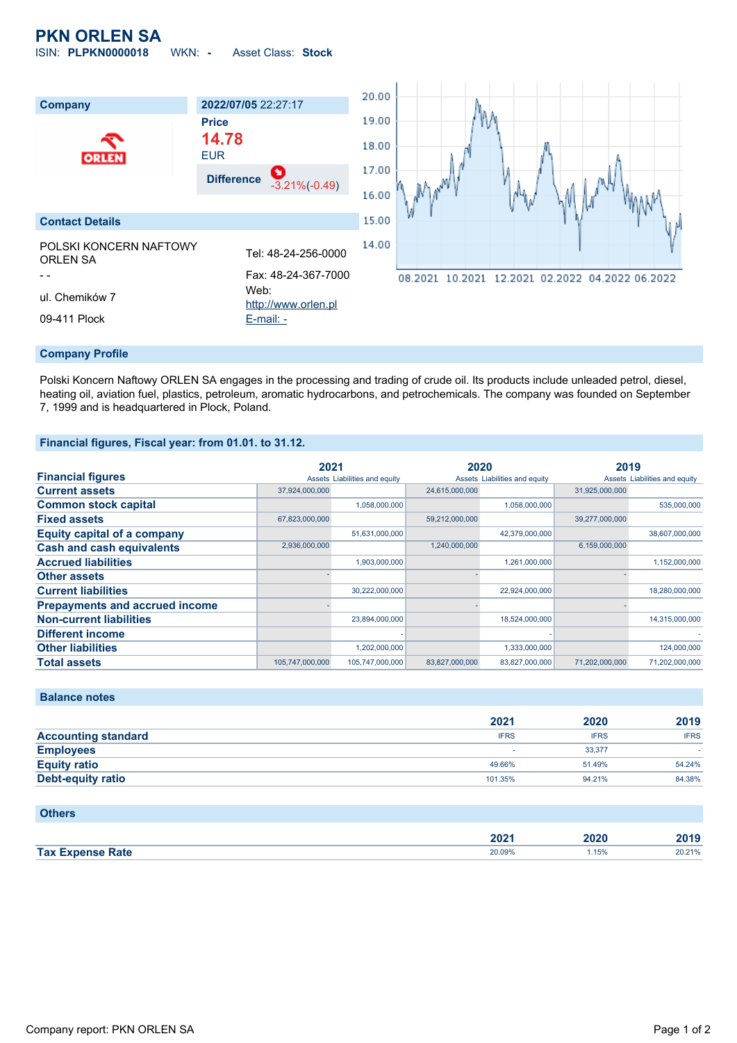# **PKN ORLEN SA**

ISIN: **PLPKN0000018** WKN: **-** Asset Class: **Stock**



#### **Company Profile**

Polski Koncern Naftowy ORLEN SA engages in the processing and trading of crude oil. Its products include unleaded petrol, diesel, heating oil, aviation fuel, plastics, petroleum, aromatic hydrocarbons, and petrochemicals. The company was founded on September 7, 1999 and is headquartered in Plock, Poland.

#### **Financial figures, Fiscal year: from 01.01. to 31.12.**

|                                       | 2021            |                               | 2020           |                               | 2019           |                               |
|---------------------------------------|-----------------|-------------------------------|----------------|-------------------------------|----------------|-------------------------------|
| <b>Financial figures</b>              |                 | Assets Liabilities and equity |                | Assets Liabilities and equity |                | Assets Liabilities and equity |
| <b>Current assets</b>                 | 37,924,000,000  |                               | 24,615,000,000 |                               | 31.925.000.000 |                               |
| <b>Common stock capital</b>           |                 | 1,058,000,000                 |                | 1,058,000,000                 |                | 535,000,000                   |
| <b>Fixed assets</b>                   | 67,823,000,000  |                               | 59,212,000,000 |                               | 39,277,000,000 |                               |
| <b>Equity capital of a company</b>    |                 | 51,631,000,000                |                | 42,379,000,000                |                | 38,607,000,000                |
| <b>Cash and cash equivalents</b>      | 2,936,000,000   |                               | 1,240,000,000  |                               | 6,159,000,000  |                               |
| <b>Accrued liabilities</b>            |                 | 1,903,000,000                 |                | 1,261,000,000                 |                | 1,152,000,000                 |
| <b>Other assets</b>                   |                 |                               |                |                               |                |                               |
| <b>Current liabilities</b>            |                 | 30,222,000,000                |                | 22,924,000,000                |                | 18,280,000,000                |
| <b>Prepayments and accrued income</b> |                 |                               |                |                               |                |                               |
| <b>Non-current liabilities</b>        |                 | 23,894,000,000                |                | 18,524,000,000                |                | 14,315,000,000                |
| <b>Different income</b>               |                 |                               |                |                               |                |                               |
| <b>Other liabilities</b>              |                 | 1,202,000,000                 |                | 1,333,000,000                 |                | 124,000,000                   |
| <b>Total assets</b>                   | 105,747,000,000 | 105,747,000,000               | 83,827,000,000 | 83,827,000,000                | 71.202.000.000 | 71,202,000,000                |

## **Balance notes**

|                            | 2021        | 2020        | 2019        |
|----------------------------|-------------|-------------|-------------|
| <b>Accounting standard</b> | <b>IFRS</b> | <b>IFRS</b> | <b>IFRS</b> |
| <b>Employees</b>           |             | 33.377      |             |
| <b>Equity ratio</b>        | 49.66%      | 51.49%      | 54.24%      |
| <b>Debt-equity ratio</b>   | 101.35%     | 94.21%      | 84.38%      |

#### **Others**

|                         | יממ<br>ZUZ ' | 2020 | 2019            |
|-------------------------|--------------|------|-----------------|
| <b>Tax Expense Rate</b> | 20.09%       | 15%  | 20.21%<br>ZU.Z. |